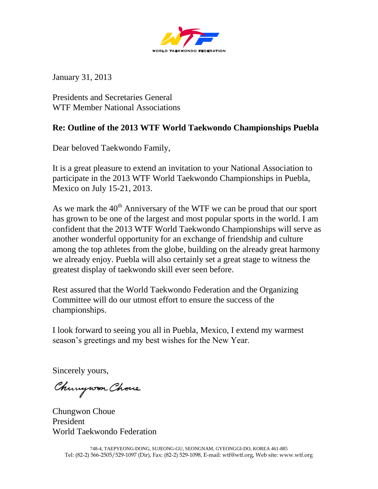

January 31, 2013

Presidents and Secretaries General WTF Member National Associations

## **Re: Outline of the 2013 WTF World Taekwondo Championships Puebla**

Dear beloved Taekwondo Family,

It is a great pleasure to extend an invitation to your National Association to participate in the 2013 WTF World Taekwondo Championships in Puebla, Mexico on July 15-21, 2013.

As we mark the  $40<sup>th</sup>$  Anniversary of the WTF we can be proud that our sport has grown to be one of the largest and most popular sports in the world. I am confident that the 2013 WTF World Taekwondo Championships will serve as another wonderful opportunity for an exchange of friendship and culture among the top athletes from the globe, building on the already great harmony we already enjoy. Puebla will also certainly set a great stage to witness the greatest display of taekwondo skill ever seen before.

Rest assured that the World Taekwondo Federation and the Organizing Committee will do our utmost effort to ensure the success of the championships.

I look forward to seeing you all in Puebla, Mexico, I extend my warmest season's greetings and my best wishes for the New Year.

Sincerely yours,

Chungwon Chove

Chungwon Choue President World Taekwondo Federation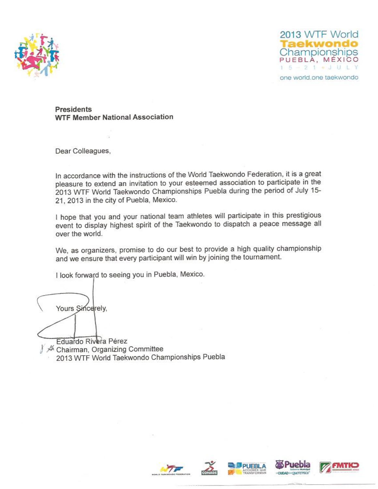



one world.one taekwondo

Presidents **WTF Member National Association** 

Dear Colleagues,

In accordance with the instructions of the World Taekwondo Federation, it is a great pleasure to extend an invitation to your esteemed association to participate in the 2013 WTF World Taekwondo Championships Puebla during the period of July 15-21, 2013 in the city of Puebla, Mexico.

I hope that you and your national team athletes will participate in this prestigious event to display highest spirit of the Taekwondo to dispatch a peace message all over the world.

We, as organizers, promise to do our best to provide a high quality championship and we ensure that every participant will win by joining the tournament.

I look forward to seeing you in Puebla, Mexico.

Yours Sincerely,

Eduardo Rivera Pérez A Chairman, Organizing Committee 2013 WTF World Taekwondo Championships Puebla









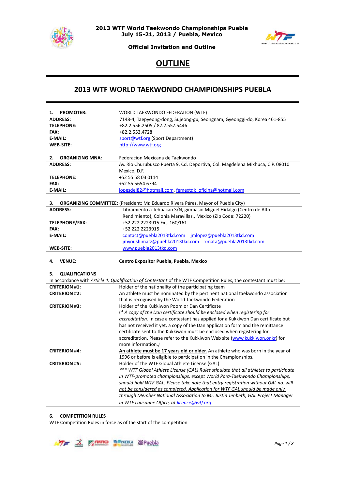



**Official Invitation and Outline**

# **OUTLINE**

## **2013 WTF WORLD TAEKWONDO CHAMPIONSHIPS PUEBLA**

| <b>PROMOTER:</b><br>1.       | WORLD TAEKWONDO FEDERATION (WTF)                                                                                              |
|------------------------------|-------------------------------------------------------------------------------------------------------------------------------|
| <b>ADDRESS:</b>              | 7148-4, Taepyeong-dong, Sujeong-gu, Seongnam, Gyeonggi-do, Korea 461-855                                                      |
| <b>TELEPHONE:</b>            | +82.2.556.2505 / 82.2.557.5446                                                                                                |
| FAX:                         | +82.2.553.4728                                                                                                                |
| <b>E-MAIL:</b>               | sport@wtf.org (Sport Department)                                                                                              |
| <b>WEB-SITE:</b>             | http://www.wtf.org                                                                                                            |
|                              |                                                                                                                               |
| <b>ORGANIZING MNA:</b><br>2. | Federacion Mexicana de Taekwondo                                                                                              |
| <b>ADDRESS:</b>              | Av. Rio Churubusco Puerta 9, Cd. Deportiva, Col. Magdelena Mixhuca, C.P. 08010                                                |
|                              | Mexico, D.F.                                                                                                                  |
| <b>TELEPHONE:</b>            | +52 55 58 03 0114                                                                                                             |
| FAX:                         | +52 55 5654 6794                                                                                                              |
| <b>E-MAIL:</b>               | lopesdel82@hotmail.com, femextdk oficina@hotmail.com                                                                          |
|                              |                                                                                                                               |
| з.                           | <b>ORGANIZING COMMITTEE:</b> (President: Mr. Eduardo Rivera Pérez. Mayor of Puebla City)                                      |
| <b>ADDRESS:</b>              | Libramiento a Tehuacán S/N, gimnasio Miguel Hidalgo (Centro de Alto                                                           |
|                              | Rendimiento), Colonia Maravillas., Mexico (Zip Code: 72220)                                                                   |
| <b>TELEPHONE/FAX:</b>        | +52 222 2223915 Ext. 160/161                                                                                                  |
| FAX:                         | +52 222 2223915                                                                                                               |
| <b>E-MAIL:</b>               |                                                                                                                               |
|                              | jmyoushimatz@puebla2013tkd.com xmata@puebla2013tkd.com                                                                        |
| <b>WEB-SITE:</b>             | www.puebla2013tkd.com                                                                                                         |
|                              |                                                                                                                               |
|                              |                                                                                                                               |
| 4.<br><b>VENUE:</b>          | Centro Expositor Puebla, Puebla, Mexico                                                                                       |
|                              |                                                                                                                               |
| <b>QUALIFICATIONS</b><br>5.  |                                                                                                                               |
|                              | In accordance with Article 4: Qualification of Contestant of the WTF Competition Rules, the contestant must be:               |
| <b>CRITERION #1:</b>         | Holder of the nationality of the participating team                                                                           |
| <b>CRITERION #2:</b>         | An athlete must be nominated by the pertinent national taekwondo association                                                  |
|                              | that is recognised by the World Taekwondo Federation                                                                          |
| <b>CRITERION #3:</b>         | Holder of the Kukkiwon Poom or Dan Certificate                                                                                |
|                              | (* A copy of the Dan certificate should be enclosed when registering for                                                      |
|                              | accreditation. In case a contestant has applied for a Kukkiwon Dan certificate but                                            |
|                              | has not received it yet, a copy of the Dan application form and the remittance                                                |
|                              | certificate sent to the Kukkiwon must be enclosed when registering for                                                        |
|                              | accreditation. Please refer to the Kukkiwon Web site (www.kukkiwon.or.kr) for                                                 |
|                              | more information.)                                                                                                            |
| <b>CRITERION #4:</b>         | An athlete must be 17 years old or older. An athlete who was born in the year of                                              |
|                              | 1996 or before is eligible to participation in the Championships.                                                             |
| <b>CRITERION #5:</b>         | Holder of the WTF Global Athlete License (GAL)                                                                                |
|                              | *** WTF Global Athlete License (GAL) Rules stipulate that all athletes to participate                                         |
|                              | in WTF-promoted championships, except World Para-Taekwondo Championships,                                                     |
|                              | should hold WTF GAL. Please take note that entry registration without GAL no. will                                            |
|                              | not be considered as completed. Application for WTF GAL should be made only                                                   |
|                              | through Member National Association to Mr. Justin Tenbeth, GAL Project Manager<br>in WTF Lausanne Office, at licence@wtf.org. |

#### **6. COMPETITION RULES**

WTF Competition Rules in force as of the start of the competition

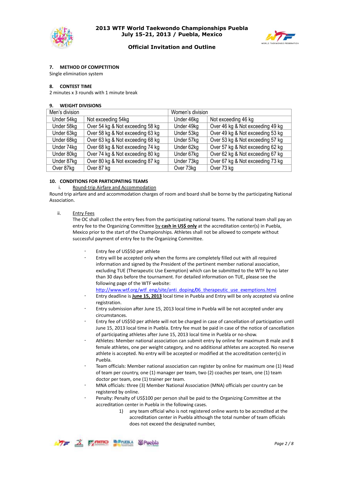



## **Official Invitation and Outline**

#### **7. METHOD OF COMPETITION**

Single elimination system

#### **8. CONTEST TIME**

2 minutes x 3 rounds with 1 minute break

#### **9. WEIGHT DIVISIONS**

| Men's division |                                  | Women's division |                                  |
|----------------|----------------------------------|------------------|----------------------------------|
| Under 54kg     | Not exceeding 54kg               | Under 46kg       | Not exceeding 46 kg              |
| Under 58kg     | Over 54 kg & Not exceeding 58 kg | Under 49kg       | Over 46 kg & Not exceeding 49 kg |
| Under 63kg     | Over 58 kg & Not exceeding 63 kg | Under 53kg       | Over 49 kg & Not exceeding 53 kg |
| Under 68kg     | Over 63 kg & Not exceeding 68 kg | Under 57kg       | Over 53 kg & Not exceeding 57 kg |
| Under 74kg     | Over 68 kg & Not exceeding 74 kg | Under 62kg       | Over 57 kg & Not exceeding 62 kg |
| Under 80kg     | Over 74 kg & Not exceeding 80 kg | Under 67kg       | Over 62 kg & Not exceeding 67 kg |
| Under 87kg     | Over 80 kg & Not exceeding 87 kg | Under 73kg       | Over 67 kg & Not exceeding 73 kg |
| Over 87kg      | Over 87 kg                       | Over 73kg        | Over 73 kg                       |

#### **10. CONDITIONS FOR PARTICIPATING TEAMS**

#### i. Round-trip Airfare and Accommodation

Round trip airfare and and accommodation charges of room and board shall be borne by the participating National Association.

ii. Entry Fees

The OC shall collect the entry fees from the participating national teams. The national team shall pay an entry fee to the Organizing Committee by cash in US\$ only at the accreditation center(s) in Puebla, Mexico prior to the start of the Championships. Athletes shall not be allowed to compete without successful payment of entry fee to the Organizing Committee.

- Entry fee of US\$50 per athlete
- Entry will be accepted only when the forms are completely filled out with all required information and signed by the President of the pertinent member national association, excluding TUE (Therapeutic Use Exemption) which can be submitted to the WTF by no later than 30 days before the tournament. For detailed information on TUE, please see the following page of the WTF website:
	- [http://www.wtf.org/wtf\\_eng/site/anti\\_doping/06\\_therapeutic\\_use\\_exemptions.html](http://www.wtf.org/wtf_eng/site/anti_doping/06_therapeutic_use_exemptions.html)
- Entry deadline is **June 15, 2013** local time in Puebla and Entry will be only accepted via online registration.
- Entry submission after June 15, 2013 local time in Puebla will be not accepted under any circumstances.
- Entry fee of US\$50 per athlete will not be charged in case of cancellation of participation until June 15, 2013 local time in Puebla. Entry fee must be paid in case of the notice of cancellation of participating athletes after June 15, 2013 local time in Puebla or no-show.
- Athletes: Member national association can submit entry by online for maximum 8 male and 8 female athletes, one per weight category, and no additional athletes are accepted. No reserve athlete is accepted. No entry will be accepted or modified at the accreditation center(s) in Puebla.
- Team officials: Member national association can register by online for maximum one (1) Head of team per country, one (1) manager per team, two (2) coaches per team, one (1) team doctor per team, one (1) trainer per team.
- MNA officials: three (3) Member National Association (MNA) officials per country can be registered by online.
- Penalty: Penalty of US\$100 per person shall be paid to the Organizing Committee at the accreditation center in Puebla in the following cases.
	- 1) any team official who is not registered online wants to be accredited at the accreditation center in Puebla although the total number of team officials does not exceed the designated number,

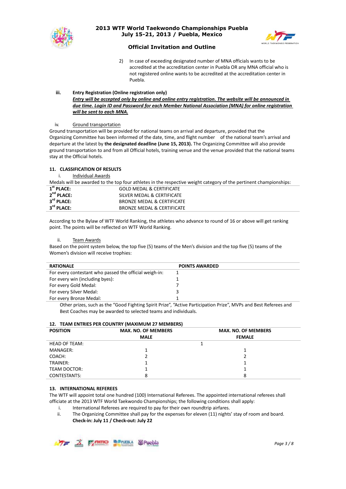



## **Official Invitation and Outline**

2) In case of exceeding designated number of MNA officials wants to be accredited at the accreditation center in Puebla OR any MNA official who is not registered online wants to be accredited at the accreditation center in Puebla.

#### **iii. Entry Registration (Online registration only)** *Entry will be accepted only by online and online entry registration. The website will be announced in due time. Login ID and Password for each Member National Association (MNA) for online registration will be sent to each MNA.*

#### iv. Ground transportation

Ground transportation will be provided for national teams on arrival and departure, provided that the Organizing Committee has been informed of the date, time, and flight number of the national team's arrival and departure at the latest by **the designated deadline (June 15, 2013).** The Organizing Committee will also provide ground transportation to and from all Official hotels, training venue and the venue provided that the national teams stay at the Official hotels.

## **11. CLASSIFICATION OF RESULTS**

i. Individual Awards

Medals will be awarded to the top four athletes in the respective weight category of the pertinent championships:

| $1st$ PLACE:           | <b>GOLD MEDAL &amp; CERTIFICATE</b> |
|------------------------|-------------------------------------|
| $2nd$ PLACE:           | SILVER MEDAL & CERTIFICATE          |
| 3 <sup>rd</sup> PLACE: | BRONZE MEDAL & CERTIFICATE          |
| 3 <sup>rd</sup> PLACE: | BRONZE MEDAL & CERTIFICATE          |

According to the Bylaw of WTF World Ranking, the athletes who advance to round of 16 or above will get ranking point. The points will be reflected on WTF World Ranking.

#### ii. Team Awards

Based on the point system below, the top five (5) teams of the Men's division and the top five (5) teams of the Women's division will receive trophies:

| <b>RATIONALE</b>                                       | <b>POINTS AWARDED</b> |
|--------------------------------------------------------|-----------------------|
| For every contestant who passed the official weigh-in: |                       |
| For every win (including byes):                        |                       |
| For every Gold Medal:                                  |                       |
| For every Silver Medal:                                |                       |
| For every Bronze Medal:                                |                       |

Other prizes, such as the "Good Fighting Spirit Prize", "Active Participation Prize", MVPs and Best Referees and Best Coaches may be awarded to selected teams and individuals.

## **12. TEAM ENTRIES PER COUNTRY (MAXIMUM 27 MEMBERS)**

| <b>POSITION</b>      | <b>MAX. NO. OF MEMBERS</b> | <b>MAX. NO. OF MEMBERS</b> |
|----------------------|----------------------------|----------------------------|
|                      | <b>MALE</b>                | <b>FEMALE</b>              |
| <b>HEAD OF TEAM:</b> |                            |                            |
| MANAGER:             |                            |                            |
| COACH:               |                            |                            |
| TRAINER:             |                            |                            |
| TEAM DOCTOR:         |                            |                            |
| CONTESTANTS:         | 8                          | 8                          |

## **13. INTERNATIONAL REFEREES**

The WTF will appoint total one hundred (100) International Referees. The appointed international referees shall officiate at the 2013 WTF World Taekwondo Championships; the following conditions shall apply:

- i. International Referees are required to pay for their own roundtrip airfares.
- ii. The Organizing Committee shall pay for the expenses for eleven (11) nights' stay of room and board. **Check-in: July 11 / Check-out: July 22**

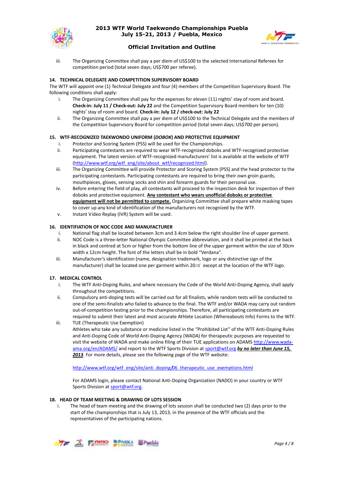



## **Official Invitation and Outline**

iii. The Organizing Committee shall pay a per diem of US\$100 to the selected International Referees for competition period (total seven days; US\$700 per referee).

#### **14. TECHNICAL DELEGATE AND COMPETITION SUPERVISORY BOARD**

The WTF will appoint one (1) Technical Delegate and four (4) members of the Competition Supervisory Board. The following conditions shall apply:

- i. The Organizing Committee shall pay for the expenses for eleven (11) nights' stay of room and board. **Check-in: July 11 / Check-out: July 22** and the Competition Supervisory Board members for ten (10) nights' stay of room and board. **Check-in: July 12 / check-out: July 22**
- ii. The Organizing Committee shall pay a per diem of US\$100 to the Technical Delegate and the members of the Competition Supervisory Board for competition period (total seven days; US\$700 per person).

#### **15. WTF-RECOGNIZED TAEKWONDO UNIFORM (***DOBOK***) AND PROTECTIVE EQUIPMENT**

- i. Protector and Scoring System (PSS) will be used for the Championships.
- ii. Participating contestants are required to wear WTF-recognized doboks and WTF-recognized protective equipment. The latest version of WTF-recognized manufacturers' list is available at the website of WTF [\(http://www.wtf.org/wtf\\_eng/site/about\\_wtf/recognized.html\)](http://www.wtf.org/wtf_eng/site/about_wtf/recognized.html).
- iii. The Organizing Committee will provide Protector and Scoring System (PSS) and the head protector to the participating contestants. Participating contestants are required to bring their own groin guards, mouthpieces, gloves, sensing socks and shin and forearm guards for their personal use.
- iv. Before entering the field of play, all contestants will proceed to the inspection desk for inspection of their doboks and protective equipment. **Any contestant who wears unofficial doboks or protective equipment will not be permitted to compete.** Organizing Committee shall prepare white masking tapes to cover up any kind of identification of the manufacturers not recognized by the WTF.
- v. Instant Video Replay (IVR) System will be used.

#### **16. IDENTIFIATION OF NOC CODE AND MANUFACTURER**

- i. National flag shall be located between 3cm and 3.4cm below the right shoulder line of upper garment.
- ii. NOC Code is a three-letter National Olympic Committee abbreviation, and it shall be printed at the back in black and centred at 5cm or higher from the bottom line of the upper garment within the size of 30cm width x 12cm height. The font of the letters shall be in bold "Verdana".
- iii. Manufacturer's identification (name, designation trademark, logo or any distinctive sign of the manufacturer) shall be located one per garment within 20㎠ except at the location of the WTF logo.

#### **17. MEDICAL CONTROL**

- i. The WTF Anti-Doping Rules, and where necessary the Code of the World Anti-Doping Agency, shall apply throughout the competitions.
- ii. Compulsory anti-doping tests will be carried out for all finalists, while random tests will be conducted to one of the semi-finalists who failed to advance to the final. The WTF and/or WADA may carry out random out-of-competition testing prior to the championships. Therefore, all participating contestants are required to submit their latest and most accurate Athlete Location (Whereabouts Info) Forms to the WTF.
- iii. TUE (Therapeutic Use Exemption) Athletes who take any substance or medicine listed in the "Prohibited List" of the WTF Anti-Doping Rules

and Anti-Doping Code of World Anti-Doping Agency (WADA) for therapeutic purposes are requested to visit the website of WADA and make online filing of their TUE applications on ADAM[S http://www.wada](http://www.wada-ama.org/en/ADAMS/)[ama.org/en/ADAMS/](http://www.wada-ama.org/en/ADAMS/) and report to the WTF Sports Division at [sport@wtf.org](mailto:sport@wtf.org) *by no later than June 15, 2013*. For more details, please see the following page of the WTF website:

[http://www.wtf.org/wtf\\_eng/site/anti\\_doping/06\\_therapeutic\\_use\\_exemptions.html](http://www.wtf.org/wtf_eng/site/anti_doping/06_therapeutic_use_exemptions.html)

For ADAMS login, please contact National Anti-Doping Organization (NADO) in your country or WTF Sports Division a[t sport@wtf.org.](mailto:sport@wtf.org)

#### **18. HEAD OF TEAM MEETING & DRAWING OF LOTS SESSION**

i. The head of team meeting and the drawing of lots session shall be conducted two (2) days prior to the start of the championships that is July 13, 2013, in the presence of the WTF officials and the representatives of the participating nations.

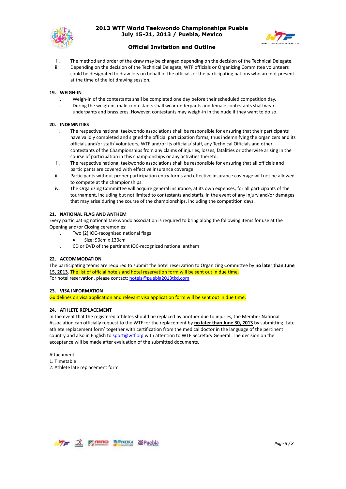



## **Official Invitation and Outline**

- ii. The method and order of the draw may be changed depending on the decision of the Technical Delegate.
- Depending on the decision of the Technical Delegate, WTF officials or Organizing Committee volunteers could be designated to draw lots on behalf of the officials of the participating nations who are not present at the time of the lot drawing session.

#### **19. WEIGH-IN**

- i. Weigh-in of the contestants shall be completed one day before their scheduled competition day.
- ii. During the weigh-in, male contestants shall wear underpants and female contestants shall wear underpants and brassieres. However, contestants may weigh-in in the nude if they want to do so.

#### **20. INDEMNITIES**

- i. The respective national taekwondo associations shall be responsible for ensuring that their participants have validly completed and signed the official participation forms, thus indemnifying the organizers and its officials and/or staff/ volunteers, WTF and/or its officials/ staff, any Technical Officials and other contestants of the Championships from any claims of injuries, losses, fatalities or otherwise arising in the course of participation in this championships or any activities thereto.
- ii. The respective national taekwondo associations shall be responsible for ensuring that all officials and participants are covered with effective insurance coverage.
- iii. Participants without proper participation entry forms and effective insurance coverage will not be allowed to compete at the championships.
- iv. The Organizing Committee will acquire general insurance, at its own expenses, for all participants of the tournament, including but not limited to contestants and staffs, in the event of any injury and/or damages that may arise during the course of the championships, including the competition days.

#### **21. NATIONAL FLAG AND ANTHEM**

Every participating national taekwondo association is required to bring along the following items for use at the Opening and/or Closing ceremonies:

- i. Two (2) IOC-recognized national flags
	- Size: 90cm x 130cm
- ii. CD or DVD of the pertinent IOC-recognized national anthem

## **22. ACCOMMODATION**

The participating teams are required to submit the hotel reservation to Organizing Committee by **no later than June 15, 2013**. The list of official hotels and hotel reservation form will be sent out in due time. For hotel reservation, please contact: [hotels@puebla2013tkd.com](mailto:hotels@puebla2013tkd.com)

#### **23. VISA INFORMATION**

Guidelines on visa application and relevant visa application form will be sent out in due time.

## **24. ATHLETE REPLACEMENT**

In the event that the registered athletes should be replaced by another due to injuries, the Member National Association can officially request to the WTF for the replacement by **no later than June 30, 2013** by submitting 'Late athlete replacement form' together with certification from the medical doctor in the language of the pertinent country and also in English to [sport@wtf.org](mailto:sport@wtf.org) with attention to WTF Secretary General. The decision on the acceptance will be made after evaluation of the submitted documents.

Attachment

1. Timetable

2. Athlete late replacement form

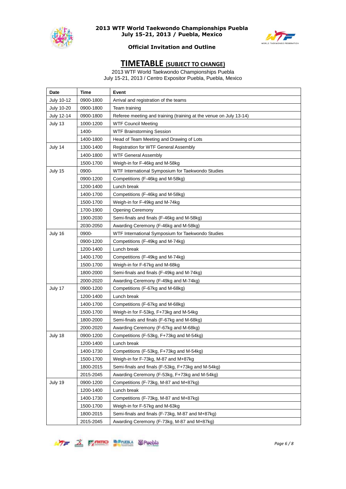



## **Official Invitation and Outline**

## **TIMETABLE (SUBJECT TO CHANGE)**

2013 WTF World Taekwondo Championships Puebla July 15-21, 2013 / Centro Expositor Puebla, Puebla, Mexico

| Date              | Time      | <b>Event</b>                                                       |
|-------------------|-----------|--------------------------------------------------------------------|
| July 10-12        | 0900-1800 | Arrival and registration of the teams                              |
| <b>July 10-20</b> | 0900-1800 | Team training                                                      |
| July 12-14        | 0900-1800 | Referee meeting and training (training at the venue on July 13-14) |
| July 13           | 1000-1200 | <b>WTF Council Meeting</b>                                         |
|                   | 1400-     | <b>WTF Brainstorming Session</b>                                   |
|                   | 1400-1800 | Head of Team Meeting and Drawing of Lots                           |
| July 14           | 1300-1400 | <b>Registration for WTF General Assembly</b>                       |
|                   | 1400-1800 | <b>WTF General Assembly</b>                                        |
|                   | 1500-1700 | Weigh-in for F-46kg and M-58kg                                     |
| July 15           | 0900-     | WTF International Symposium for Taekwondo Studies                  |
|                   | 0900-1200 | Competitions (F-46kg and M-58kg)                                   |
|                   | 1200-1400 | Lunch break                                                        |
|                   | 1400-1700 | Competitions (F-46kg and M-58kg)                                   |
|                   | 1500-1700 | Weigh-in for F-49kg and M-74kg                                     |
|                   | 1700-1900 | <b>Opening Ceremony</b>                                            |
|                   | 1900-2030 | Semi-finals and finals (F-46kg and M-58kg)                         |
|                   | 2030-2050 | Awarding Ceremony (F-46kg and M-58kg)                              |
| July 16           | 0900-     | WTF International Symposium for Taekwondo Studies                  |
|                   | 0900-1200 | Competitions (F-49kg and M-74kg)                                   |
|                   | 1200-1400 | Lunch break                                                        |
|                   | 1400-1700 | Competitions (F-49kg and M-74kg)                                   |
|                   | 1500-1700 | Weigh-in for F-67kg and M-68kg                                     |
|                   | 1800-2000 | Semi-finals and finals (F-49kg and M-74kg)                         |
|                   | 2000-2020 | Awarding Ceremony (F-49kg and M-74kg)                              |
| July 17           | 0900-1200 | Competitions (F-67kg and M-68kg)                                   |
|                   | 1200-1400 | Lunch break                                                        |
|                   | 1400-1700 | Competitions (F-67kg and M-68kg)                                   |
|                   | 1500-1700 | Weigh-in for F-53kg, F+73kg and M-54kg                             |
|                   | 1800-2000 | Semi-finals and finals (F-67kg and M-68kg)                         |
|                   | 2000-2020 | Awarding Ceremony (F-67kg and M-68kg)                              |
| July 18           | 0900-1200 | Competitions (F-53kg, F+73kg and M-54kg)                           |
|                   | 1200-1400 | Lunch break                                                        |
|                   | 1400-1730 | Competitions (F-53kg, F+73kg and M-54kg)                           |
|                   | 1500-1700 | Weigh-in for F-73kg, M-87 and M+87kg                               |
|                   | 1800-2015 | Semi-finals and finals (F-53kg, F+73kg and M-54kg)                 |
|                   | 2015-2045 | Awarding Ceremony (F-53kg, F+73kg and M-54kg)                      |
| July 19           | 0900-1200 | Competitions (F-73kg, M-87 and M+87kg)                             |
|                   | 1200-1400 | Lunch break                                                        |
|                   | 1400-1730 | Competitions (F-73kg, M-87 and M+87kg)                             |
|                   | 1500-1700 | Weigh-in for F-57kg and M-63kg                                     |
|                   | 1800-2015 | Semi-finals and finals (F-73kg, M-87 and M+87kg)                   |
|                   | 2015-2045 | Awarding Ceremony (F-73kg, M-87 and M+87kg)                        |

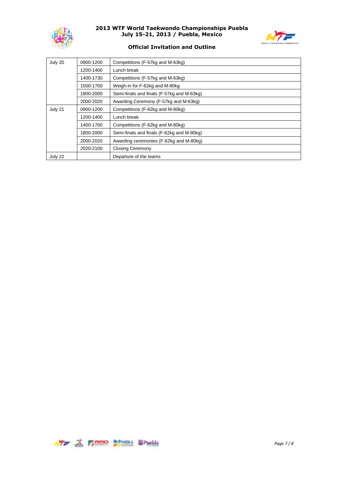



## **Official Invitation and Outline**

| July 20 | 0900-1200 | Competitions (F-57kg and M-63kg)           |
|---------|-----------|--------------------------------------------|
|         | 1200-1400 | Lunch break                                |
|         | 1400-1730 | Competitions (F-57kg and M-63kg)           |
|         | 1500-1700 | Weigh-in for F-62kg and M-80kg             |
|         | 1800-2000 | Semi-finals and finals (F-57kg and M-63kg) |
|         | 2000-2020 | Awarding Ceremony (F-57kg and M-63kg)      |
| July 21 | 0900-1200 | Competitions (F-62kg and M-80kg)           |
|         | 1200-1400 | Lunch break                                |
|         | 1400-1700 | Competitions (F-62kg and M-80kg)           |
|         | 1800-2000 | Semi-finals and finals (F-62kg and M-80kg) |
|         | 2000-2020 | Awarding ceremonies (F-62kg and M-80kg)    |
|         | 2020-2100 | Closing Ceremony                           |
| July 22 |           | Departure of the teams                     |